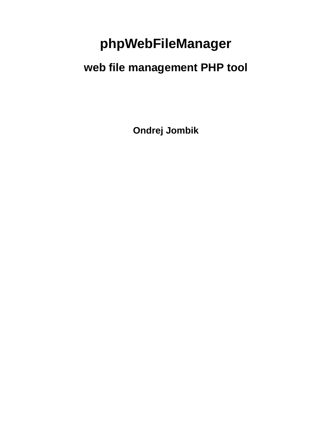# **phpWebFileManager**

# **web file management PHP tool**

**Ondrej Jombik**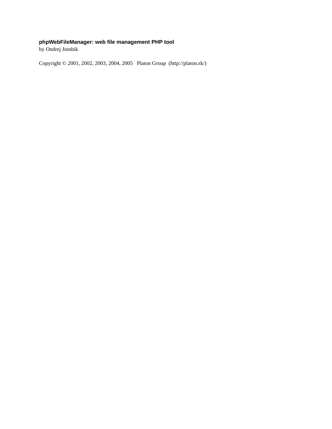### **phpWebFileManager: web file management PHP tool**

by Ondrej Jombik

Copyright © 2001, 2002, 2003, 2004, 2005 Platon Group (http://platon.sk/)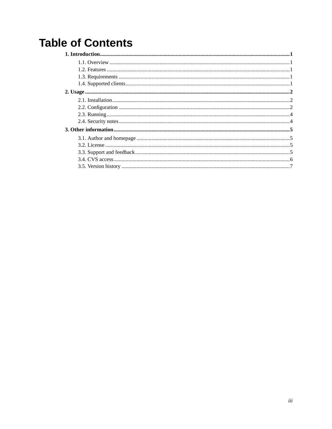# **Table of Contents**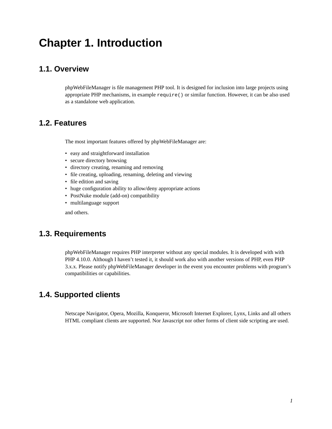# <span id="page-3-0"></span>**Chapter 1. Introduction**

### <span id="page-3-1"></span>**1.1. Overview**

phpWebFileManager is file management PHP tool. It is designed for inclusion into large projects using appropriate PHP mechanisms, in example require() or similar function. However, it can be also used as a standalone web application.

## <span id="page-3-2"></span>**1.2. Features**

The most important features offered by phpWebFileManager are:

- easy and straightforward installation
- secure directory browsing
- directory creating, renaming and removing
- file creating, uploading, renaming, deleting and viewing
- file edition and saving
- huge configuration ability to allow/deny appropriate actions
- PostNuke module (add-on) compatibility
- multilanguage support

and others.

## <span id="page-3-3"></span>**1.3. Requirements**

phpWebFileManager requires PHP interpreter without any special modules. It is developed with with PHP 4.10.0. Although I haven't tested it, it should work also with another versions of PHP, even PHP 3.x.x. Please notify phpWebFileManager developer in the event you encounter problems with program's compatibilities or capabilities.

## <span id="page-3-4"></span>**1.4. Supported clients**

Netscape Navigator, Opera, Mozilla, Konqueror, Microsoft Internet Explorer, Lynx, Links and all others HTML compliant clients are supported. Nor Javascript nor other forms of client side scripting are used.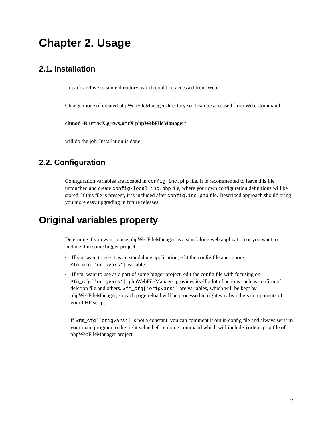# <span id="page-4-0"></span>**Chapter 2. Usage**

## <span id="page-4-1"></span>**2.1. Installation**

Unpack archive to some directory, which could be accessed from Web.

Change mode of created phpWebFileManager directory so it can be accessed from Web. Command

**chmod -R u=rwX,g-rwx,o=rX phpWebFileManager/**

will do the job. Installation is done.

## <span id="page-4-2"></span>**2.2. Configuration**

Configuration variables are located in config.inc.php file. It is recommented to leave this file untouched and create config-local.inc.php file, where your own configuration definitions will be stored. If this file is present, it is included after config.inc.php file. Described approach should bring you more easy upgrading in future releases.

## **Original variables property**

Determine if you want to use phpWebFileManager as a standalone web application or you want to include it in some bigger project.

- If you want to use it as an standalone application, edit the config file and ignore \$fm\_cfg['origvars'] variable.
- If you want to use as a part of some bigger project, edit the config file with focusing on \$fm\_cfg['origvars']. phpWebFileManager provides itself a lot of actions such as confirm of deletion file and others. \$fm\_cfg['origvars'] are variables, which will be kept by phpWebFileManager, so each page reload will be processed in right way by others components of your PHP script.

If \$fm\_cfg['origvars'] is not a constant, you can comment it out in config file and always set it in your main program to the right value before doing command which will include index.php file of phpWebFileManager project.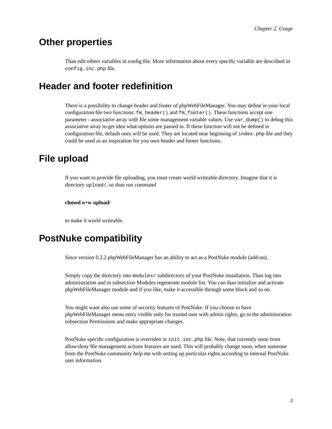# **Other properties**

Than edit others variables in config file. More information about every specific variable are described in config.inc.php file.

# **Header and footer redefinition**

There is a possibility to change header and footer of phpWebFileManager. You may define in your local configuration file two functions:  $f_m$  header() and  $f_m$  footer(). These functions accept one parameter - associative array with file some management variable values. Use var\_dump() to debug this associative array to get idea what options are passed in. If these function will not be defined in configuration file, default ones will be used. They are located near beginning of index. php file and they could be used as an inspiration for you own header and footer functions.

# **File upload**

If you want to provide file uploading, you must create world writeable directory. Imagine that it is directory upload/, so than run command

#### **chmod o+w upload/**

to make it world writeable.

# **PostNuke compatibility**

Since version 0.2.2 phpWebFileManager has an ability to act as a PostNuke module (add-on).

Simply copy the directory into modules/ subdirectory of your PostNuke installation. Than log into administration and in subsection Modules regenerate module list. You can than initialize and activate phpWebFileManager module and if you like, make it accessible through some block and so on.

You might want also use some of security features of PostNuke. If you choose to have phpWebFileManager menu entry visible only for trusted user with admin rights, go to the administration subsection Permissions and make appropriate changes.

PostNuke specific configuration is overriden in init.inc.php file. Note, that currently none from allow/deny file management actions features are used. This will probably change soon, when someone from the PostNuke community help me with setting up particular rights according to internal PostNuke user information.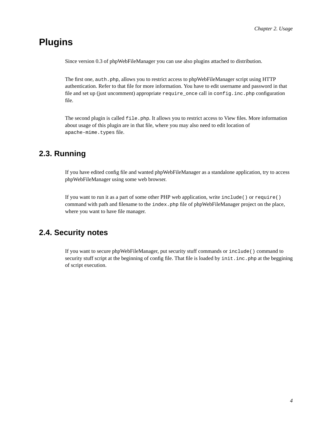# **Plugins**

Since version 0.3 of phpWebFileManager you can use also plugins attached to distribution.

The first one, auth.php, allows you to restrict access to phpWebFileManager script using HTTP authentication. Refer to that file for more information. You have to edit username and password in that file and set up (just uncomment) appropriate require\_once call in config.inc.php configuration file.

The second plugin is called file.php. It allows you to restrict access to View files. More information about usage of this plugin are in that file, where you may also need to edit location of apache-mime.types file.

## <span id="page-6-0"></span>**2.3. Running**

If you have edited config file and wanted phpWebFileManager as a standalone application, try to access phpWebFileManager using some web browser.

If you want to run it as a part of some other PHP web application, write include() or require() command with path and filename to the index.php file of phpWebFileManager project on the place, where you want to have file manager.

## <span id="page-6-1"></span>**2.4. Security notes**

If you want to secure phpWebFileManager, put security stuff commands or include() command to security stuff script at the beginning of config file. That file is loaded by init.inc.php at the beggining of script execution.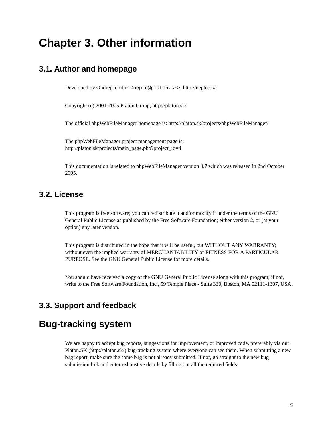# <span id="page-7-0"></span>**Chapter 3. Other information**

### <span id="page-7-1"></span>**3.1. Author and homepage**

Developed by Ondrej Jombik <nepto@platon.sk>, http://nepto.sk/.

Copyright (c) 2001-2005 Platon Group, http://platon.sk/

The official phpWebFileManager homepage is: http://platon.sk/projects/phpWebFileManager/

The phpWebFileManager project management page is: http://platon.sk/projects/main\_page.php?project\_id=4

This documentation is related to phpWebFileManager version 0.7 which was released in 2nd October 2005.

### <span id="page-7-2"></span>**3.2. License**

This program is free software; you can redistribute it and/or modify it under the terms of the GNU General Public License as published by the Free Software Foundation; either version 2, or (at your option) any later version.

This program is distributed in the hope that it will be useful, but WITHOUT ANY WARRANTY; without even the implied warranty of MERCHANTABILITY or FITNESS FOR A PARTICULAR PURPOSE. See the GNU General Public License for more details.

You should have received a copy of the GNU General Public License along with this program; if not, write to the Free Software Foundation, Inc., 59 Temple Place - Suite 330, Boston, MA 02111-1307, USA.

### <span id="page-7-3"></span>**3.3. Support and feedback**

## **Bug-tracking system**

We are happy to accept bug reports, suggestions for improvement, or improved code, preferably via our Platon.SK (http://platon.sk/) bug-tracking system where everyone can see them. When submitting a new bug report, make sure the same bug is not already submitted. If not, go straight to the new bug submission link and enter exhaustive details by filling out all the required fields.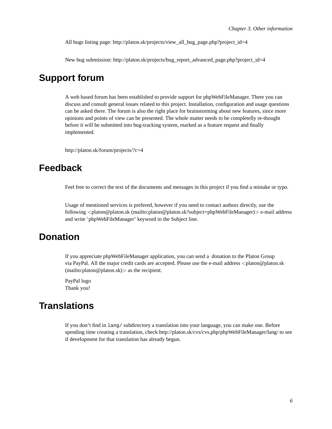All bugs listing page: http://platon.sk/projects/view\_all\_bug\_page.php?project\_id=4

New bug submission: http://platon.sk/projects/bug\_report\_advanced\_page.php?project\_id=4

# **Support forum**

A web based forum has been established to provide support for phpWebFileManager. There you can discuss and consult general issues related to this project. Installation, configuration and usage questions can be asked there. The forum is also the right place for brainstorming about new features, since more opinions and points of view can be presented. The whole matter needs to be completelly re-thought before it will be submitted into bug-tracking system, marked as a feature request and finally implemented.

http://platon.sk/forum/projects/?c=4

## **Feedback**

Feel free to correct the text of the documents and messages in this project if you find a mistake or typo.

Usage of mentioned services is prefered, however if you need to contact authors directly, use the following <platon@platon.sk (mailto:platon@platon.sk?subject=phpWebFileManager)> e-mail address and write 'phpWebFileManager' keyword in the Subject line.

## **Donation**

If you appreciate phpWebFileManager application, you can send a donation to the Platon Group via PayPal. All the major credit cards are accepted. Please use the e-mail address <platon@platon.sk (mailto:platon@platon.sk)> as the recipient.

PayPal logo Thank you!

# **Translations**

<span id="page-8-0"></span>If you don't find in lang/ subdirectory a translation into your language, you can make one. Before spending time creating a translation, check http://platon.sk/cvs/cvs.php/phpWebFileManager/lang/ to see if development for that translation has already begun.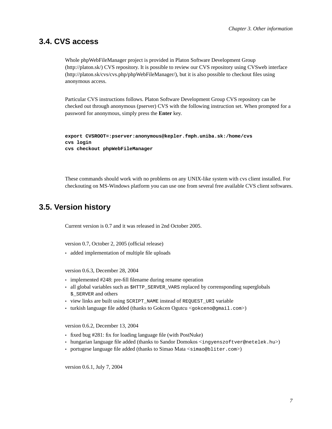#### **3.4. CVS access**

Whole phpWebFileManager project is provided in Platon Software Development Group (http://platon.sk/) CVS repository. It is possible to review our CVS repository using CVSweb interface (http://platon.sk/cvs/cvs.php/phpWebFileManager/), but it is also possible to checkout files using anonymous access.

Particular CVS instructions follows. Platon Software Development Group CVS repository can be checked out through anonymous (pserver) CVS with the following instruction set. When prompted for a password for anonymous, simply press the **Enter** key.

```
export CVSROOT=:pserver:anonymous@kepler.fmph.uniba.sk:/home/cvs
cvs login
cvs checkout phpWebFileManager
```
These commands should work with no problems on any UNIX-like system with cvs client installed. For checkouting on MS-Windows platform you can use one from several free available CVS client softwares.

## <span id="page-9-0"></span>**3.5. Version history**

Current version is 0.7 and it was released in 2nd October 2005.

version 0.7, October 2, 2005 (official release)

• added implementation of multiple file uploads

version 0.6.3, December 28, 2004

- implemented #248: pre-fill filename during rename operation
- all global variables such as \$HTTP\_SERVER\_VARS replaced by corrensponding superglobals \$\_SERVER and others
- view links are built using SCRIPT\_NAME instead of REQUEST\_URI variable
- turkish language file added (thanks to Gokcen Ogutcu <gokceno@gmail.com>)

version 0.6.2, December 13, 2004

- fixed bug #281: fix for loading language file (with PostNuke)
- hungarian language file added (thanks to Sandor Domokos <ingyenszoftver@netelek.hu>)
- portugese language file added (thanks to Simao Mata <simao@bliter.com>)

version 0.6.1, July 7, 2004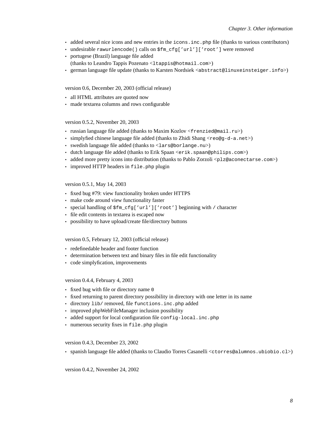- added several nice icons and new entries in the icons.inc.php file (thanks to various contributors)
- undesirable rawurlencode() calls on \$fm\_cfg['url']['root'] were removed
- portugese (Brazil) language file added (thanks to Leandro Tappis Pozenato <ltappis@hotmail.com>)
- german language file update (thanks to Karsten Nordsiek <abstract@linuxeinsteiger.info>)

#### version 0.6, December 20, 2003 (official release)

- all HTML attributes are quoted now
- made textarea columns and rows configurable

#### version 0.5.2, November 20, 2003

- russian language file added (thanks to Maxim Kozlov <frenzied@mail.ru>)
- simplyfied chinese language file added (thanks to Zhidi Shang  $\langle$ reo@q-d-a.net>)
- swedish language file added (thanks to <lars@borlange.nu>)
- dutch language file added (thanks to Erik Spaan <erik.spaan@philips.com>)
- added more pretty icons into distribution (thanks to Pablo Zorzoli  $\langle$ plz@aconectarse.com>)
- improved HTTP headers in file.php plugin

#### version 0.5.1, May 14, 2003

- fixed bug #79: view functionality broken under HTTPS
- make code around view functionality faster
- special handling of  $\frac{1}{\pi}$  cfg['url']['root'] beginning with / character
- file edit contents in textarea is escaped now
- possibility to have upload/create file/directory buttons

#### version 0.5, February 12, 2003 (official release)

- redefinedable header and footer function
- determination between text and binary files in file edit functionality
- code simplyfication, improvements

#### version 0.4.4, February 4, 2003

- fixed bug with file or directory name 0
- fixed returning to parent directory possibility in directory with one letter in its name
- directory lib/ removed, file functions.inc.php added
- improved phpWebFileManager inclusion possibility
- added support for local configuration file config-local.inc.php
- numerous security fixes in file.php plugin

#### version 0.4.3, December 23, 2002

• spanish language file added (thanks to Claudio Torres Casanelli <ctorres@alumnos.ubiobio.cl>)

version 0.4.2, November 24, 2002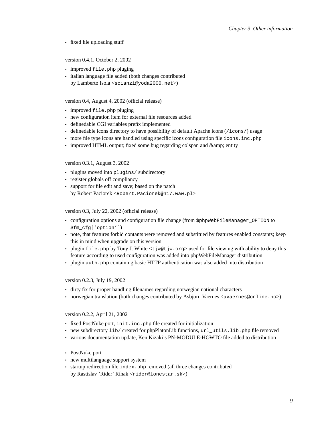• fixed file uploading stuff

#### version 0.4.1, October 2, 2002

- improved file.php pluging
- italian language file added (both changes contributed by Lamberto Isola <scianzi@yoda2000.net>)

#### version 0.4, August 4, 2002 (official release)

- improved file.php pluging
- new configuration item for external file resources added
- definedable CGI variables prefix implemented
- definedable icons directory to have possibility of default Apache icons (/icons/) usage
- more file type icons are handled using specific icons configuration file icons.inc.php
- improved HTML output; fixed some bug regarding colspan and & amp; entity

#### version 0.3.1, August 3, 2002

- plugins moved into plugins/ subdirectory
- register globals off compliancy
- support for file edit and save; based on the patch by Robert Paciorek <Robert.Paciorek@n17.waw.pl>

#### version 0.3, July 22, 2002 (official release)

- configuration options and configuration file change (from \$phpWebFileManager\_OPTION to \$fm\_cfg['option'])
- note, that features forbid contants were removed and substitued by features enabled constants; keep this in mind when upgrade on this version
- plugin file.php by Tony J. White  $lt$  jw@t jw.org> used for file viewing with ability to deny this feature according to used configuration was added into phpWebFileManager distribution
- plugin auth.php containing basic HTTP authentication was also added into distribution

#### version 0.2.3, July 19, 2002

- dirty fix for proper handling filenames regarding norwegian national characters
- norwegian translation (both changes contributed by Asbjorn Vaernes <avaernes@online.no>)

version 0.2.2, April 21, 2002

- fixed PostNuke port, init.inc.php file created for initialization
- new subdirectory lib/ created for phpPlatonLib functions,  $url_lutils.lib.php$  file removed
- various documentation update, Ken Kizaki's PN-MODULE-HOWTO file added to distribution
- PostNuke port
- new multilanguage support system
- startup redirection file index.php removed (all three changes contributed by Rastislav 'Rider' Rihak <rider@lonestar.sk>)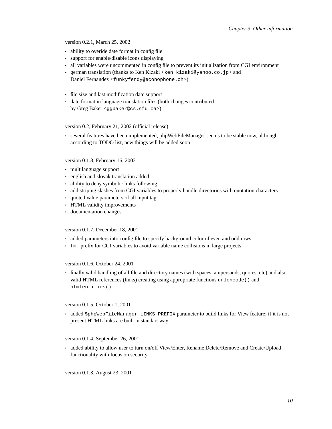version 0.2.1, March 25, 2002

- ability to overide date format in config file
- support for enable/disable icons displaying
- all variables were uncommented in config file to prevent its initialization from CGI environment
- german translation (thanks to Ken Kizaki <ken\_kizaki@yahoo.co.jp> and Daniel Fernandez <funkyferdy@econophone.ch>)
- file size and last modification date support
- date format in language translation files (both changes contributed by Greg Baker <ggbaker@cs.sfu.ca>)

version 0.2, February 21, 2002 (official release)

• several features have been implemented, phpWebFileManager seems to be stable now, although according to TODO list, new things will be added soon

version 0.1.8, February 16, 2002

- multilanguage support
- english and slovak translation added
- ability to deny symbolic links following
- add striping slashes from CGI variables to properly handle directories with quotation characters
- quoted value parameters of all input tag
- HTML validity improvements
- documentation changes

version 0.1.7, December 18, 2001

- added parameters into config file to specify background color of even and odd rows
- fm\_ prefix for CGI variables to avoid variable name collisions in large projects

version 0.1.6, October 24, 2001

• finally valid handling of all file and directory names (with spaces, ampersands, quotes, etc) and also valid HTML references (links) creating using appropriate functions urlencode() and htmlentities()

version 0.1.5, October 1, 2001

• added \$phpWebFileManager\_LINKS\_PREFIX parameter to build links for View feature; if it is not present HTML links are built in standart way

version 0.1.4, September 26, 2001

• added ability to allow user to turn on/off View/Enter, Rename Delete/Remove and Create/Upload functionality with focus on security

version 0.1.3, August 23, 2001